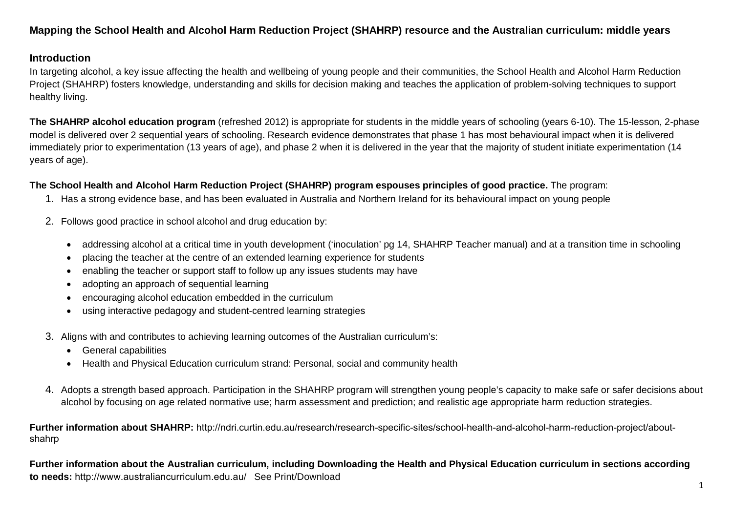## **Mapping the School Health and Alcohol Harm Reduction Project (SHAHRP) resource and the Australian curriculum: middle years**

### **Introduction**

In targeting alcohol, a key issue affecting the health and wellbeing of young people and their communities, the School Health and Alcohol Harm Reduction Project (SHAHRP) fosters knowledge, understanding and skills for decision making and teaches the application of problem-solving techniques to support healthy living.

**The SHAHRP alcohol education program** (refreshed 2012) is appropriate for students in the middle years of schooling (years 6-10). The 15-lesson, 2-phase model is delivered over 2 sequential years of schooling. Research evidence demonstrates that phase 1 has most behavioural impact when it is delivered immediately prior to experimentation (13 years of age), and phase 2 when it is delivered in the year that the majority of student initiate experimentation (14 years of age).

### **The School Health and Alcohol Harm Reduction Project (SHAHRP) program espouses principles of good practice.** The program:

- 1. Has a strong evidence base, and has been evaluated in Australia and Northern Ireland for its behavioural impact on young people
- 2. Follows good practice in school alcohol and drug education by:
	- addressing alcohol at a critical time in youth development ('inoculation' pg 14, SHAHRP Teacher manual) and at a transition time in schooling
	- placing the teacher at the centre of an extended learning experience for students
	- enabling the teacher or support staff to follow up any issues students may have
	- adopting an approach of sequential learning
	- encouraging alcohol education embedded in the curriculum
	- using interactive pedagogy and student-centred learning strategies
- 3. Aligns with and contributes to achieving learning outcomes of the Australian curriculum's:
	- General capabilities
	- Health and Physical Education curriculum strand: Personal, social and community health
- 4. Adopts a strength based approach. Participation in the SHAHRP program will strengthen young people's capacity to make safe or safer decisions about alcohol by focusing on age related normative use; harm assessment and prediction; and realistic age appropriate harm reduction strategies.

**Further information about SHAHRP:** http://ndri.curtin.edu.au/research/research-specific-sites/school-health-and-alcohol-harm-reduction-project/aboutshahrp

**Further information about the Australian curriculum, including Downloading the Health and Physical Education curriculum in sections according to needs:** http://www.australiancurriculum.edu.au/ See Print/Download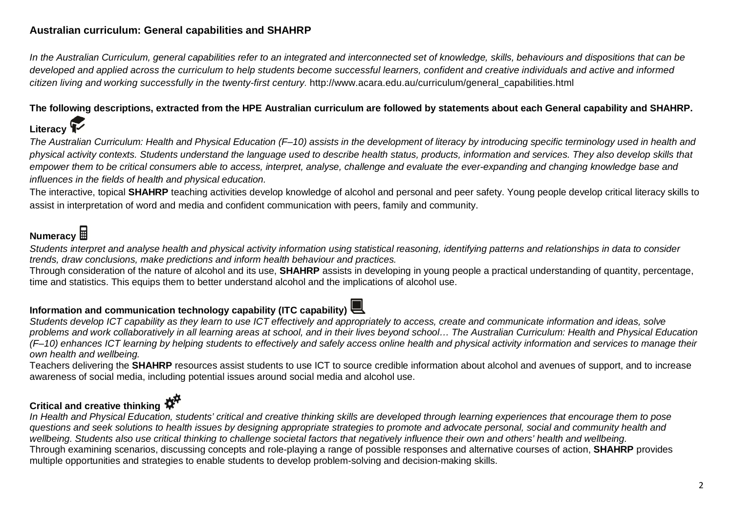## **Australian curriculum: General capabilities and SHAHRP**

*In the Australian Curriculum, general capabilities refer to an integrated and interconnected set of knowledge, skills, behaviours and dispositions that can be developed and applied across the curriculum to help students become successful learners, confident and creative individuals and active and informed citizen living and working successfully in the twenty-first century.* http://www.acara.edu.au/curriculum/general\_capabilities.html

### **The following descriptions, extracted from the HPE Australian curriculum are followed by statements about each General capability and SHAHRP.**

# **Literacy**

*The Australian Curriculum: Health and Physical Education (F–10) assists in the development of literacy by introducing specific terminology used in health and physical activity contexts. Students understand the language used to describe health status, products, information and services. They also develop skills that empower them to be critical consumers able to access, interpret, analyse, challenge and evaluate the ever-expanding and changing knowledge base and influences in the fields of health and physical education.*

The interactive, topical **SHAHRP** teaching activities develop knowledge of alcohol and personal and peer safety. Young people develop critical literacy skills to assist in interpretation of word and media and confident communication with peers, family and community.

# **Numeracy**

*Students interpret and analyse health and physical activity information using statistical reasoning, identifying patterns and relationships in data to consider trends, draw conclusions, make predictions and inform health behaviour and practices.*

Through consideration of the nature of alcohol and its use, **SHAHRP** assists in developing in young people a practical understanding of quantity, percentage, time and statistics. This equips them to better understand alcohol and the implications of alcohol use.

# **Information and communication technology capability (ITC capability)**



*Students develop ICT capability as they learn to use ICT effectively and appropriately to access, create and communicate information and ideas, solve problems and work collaboratively in all learning areas at school, and in their lives beyond school… The Australian Curriculum: Health and Physical Education (F–10) enhances ICT learning by helping students to effectively and safely access online health and physical activity information and services to manage their own health and wellbeing.* 

Teachers delivering the **SHAHRP** resources assist students to use ICT to source credible information about alcohol and avenues of support, and to increase awareness of social media, including potential issues around social media and alcohol use.

# **Critical and creative thinking**

*In Health and Physical Education, students' critical and creative thinking skills are developed through learning experiences that encourage them to pose questions and seek solutions to health issues by designing appropriate strategies to promote and advocate personal, social and community health and wellbeing. Students also use critical thinking to challenge societal factors that negatively influence their own and others' health and wellbeing.* Through examining scenarios, discussing concepts and role-playing a range of possible responses and alternative courses of action, **SHAHRP** provides multiple opportunities and strategies to enable students to develop problem-solving and decision-making skills.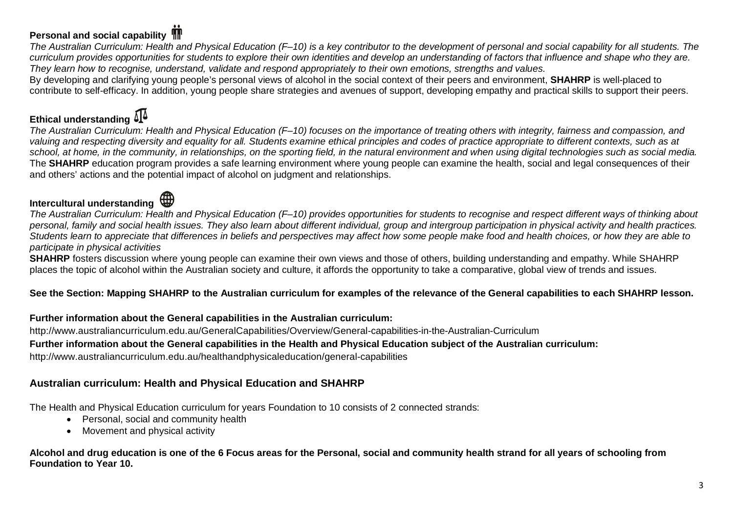# **Personal and social capability**

*The Australian Curriculum: Health and Physical Education (F–10) is a key contributor to the development of personal and social capability for all students. The curriculum provides opportunities for students to explore their own identities and develop an understanding of factors that influence and shape who they are. They learn how to recognise, understand, validate and respond appropriately to their own emotions, strengths and values.*

By developing and clarifying young people's personal views of alcohol in the social context of their peers and environment, **SHAHRP** is well-placed to contribute to self-efficacy. In addition, young people share strategies and avenues of support, developing empathy and practical skills to support their peers.

# **Ethical understanding**

*The Australian Curriculum: Health and Physical Education (F–10) focuses on the importance of treating others with integrity, fairness and compassion, and valuing and respecting diversity and equality for all. Students examine ethical principles and codes of practice appropriate to different contexts, such as at*  school, at home, in the community, in relationships, on the sporting field, in the natural environment and when using digital *technologies* such as social media. The **SHAHRP** education program provides a safe learning environment where young people can examine the health, social and legal consequences of their and others' actions and the potential impact of alcohol on judgment and relationships.

# **Intercultural understanding**

*The Australian Curriculum: Health and Physical Education (F–10) provides opportunities for students to recognise and respect different ways of thinking about personal, family and social health issues. They also learn about different individual, group and intergroup participation in physical activity and health practices. Students learn to appreciate that differences in beliefs and perspectives may affect how some people make food and health choices, or how they are able to participate in physical activities*

**SHAHRP** fosters discussion where young people can examine their own views and those of others, building understanding and empathy. While SHAHRP places the topic of alcohol within the Australian society and culture, it affords the opportunity to take a comparative, global view of trends and issues.

### **See the Section: Mapping SHAHRP to the Australian curriculum for examples of the relevance of the General capabilities to each SHAHRP lesson.**

### **Further information about the General capabilities in the Australian curriculum:**

http://www.australiancurriculum.edu.au/GeneralCapabilities/Overview/General-capabilities-in-the-Australian-Curriculum

### **Further information about the General capabilities in the Health and Physical Education subject of the Australian curriculum:**

http://www.australiancurriculum.edu.au/healthandphysicaleducation/general-capabilities

### **Australian curriculum: Health and Physical Education and SHAHRP**

The Health and Physical Education curriculum for years Foundation to 10 consists of 2 connected strands:

- Personal, social and community health
- Movement and physical activity

**Alcohol and drug education is one of the 6 Focus areas for the Personal, social and community health strand for all years of schooling from Foundation to Year 10.**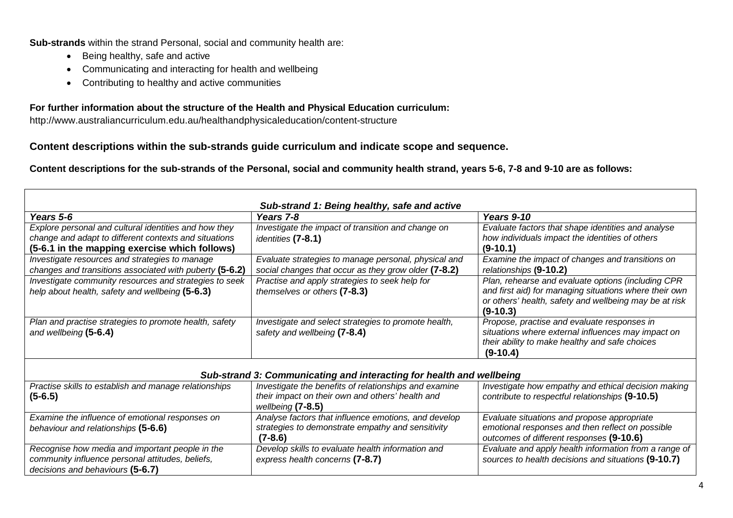**Sub-strands** within the strand Personal, social and community health are:

- Being healthy, safe and active
- Communicating and interacting for health and wellbeing
- Contributing to healthy and active communities

### **For further information about the structure of the Health and Physical Education curriculum:**

http://www.australiancurriculum.edu.au/healthandphysicaleducation/content-structure

### **Content descriptions within the sub-strands guide curriculum and indicate scope and sequence.**

**Content descriptions for the sub-strands of the Personal, social and community health strand, years 5-6, 7-8 and 9-10 are as follows:** 

| Sub-strand 1: Being healthy, safe and active                                                                                                                    |                                                                                                                                  |                                                                                                                                                                                      |  |  |  |
|-----------------------------------------------------------------------------------------------------------------------------------------------------------------|----------------------------------------------------------------------------------------------------------------------------------|--------------------------------------------------------------------------------------------------------------------------------------------------------------------------------------|--|--|--|
| Years 5-6                                                                                                                                                       | Years 7-8                                                                                                                        | <b>Years 9-10</b>                                                                                                                                                                    |  |  |  |
| Explore personal and cultural identities and how they<br>change and adapt to different contexts and situations<br>(5-6.1 in the mapping exercise which follows) | Investigate the impact of transition and change on<br>identities (7-8.1)                                                         | Evaluate factors that shape identities and analyse<br>how individuals impact the identities of others<br>$(9-10.1)$                                                                  |  |  |  |
| Investigate resources and strategies to manage<br>changes and transitions associated with puberty (5-6.2)                                                       | Evaluate strategies to manage personal, physical and<br>social changes that occur as they grow older (7-8.2)                     | Examine the impact of changes and transitions on<br>relationships (9-10.2)                                                                                                           |  |  |  |
| Investigate community resources and strategies to seek<br>help about health, safety and wellbeing (5-6.3)                                                       | Practise and apply strategies to seek help for<br>themselves or others (7-8.3)                                                   | Plan, rehearse and evaluate options (including CPR<br>and first aid) for managing situations where their own<br>or others' health, safety and wellbeing may be at risk<br>$(9-10.3)$ |  |  |  |
| Plan and practise strategies to promote health, safety<br>and wellbeing (5-6.4)                                                                                 | Investigate and select strategies to promote health,<br>safety and wellbeing (7-8.4)                                             | Propose, practise and evaluate responses in<br>situations where external influences may impact on<br>their ability to make healthy and safe choices<br>$(9-10.4)$                    |  |  |  |
|                                                                                                                                                                 | Sub-strand 3: Communicating and interacting for health and wellbeing                                                             |                                                                                                                                                                                      |  |  |  |
| Practise skills to establish and manage relationships<br>$(5-6.5)$                                                                                              | Investigate the benefits of relationships and examine<br>their impact on their own and others' health and<br>wellbeing $(7-8.5)$ | Investigate how empathy and ethical decision making<br>contribute to respectful relationships (9-10.5)                                                                               |  |  |  |
| Examine the influence of emotional responses on<br>behaviour and relationships (5-6.6)                                                                          | Analyse factors that influence emotions, and develop<br>strategies to demonstrate empathy and sensitivity<br>$(7-8.6)$           | Evaluate situations and propose appropriate<br>emotional responses and then reflect on possible<br>outcomes of different responses (9-10.6)                                          |  |  |  |
| Recognise how media and important people in the<br>community influence personal attitudes, beliefs,<br>decisions and behaviours (5-6.7)                         | Develop skills to evaluate health information and<br>express health concerns (7-8.7)                                             | Evaluate and apply health information from a range of<br>sources to health decisions and situations (9-10.7)                                                                         |  |  |  |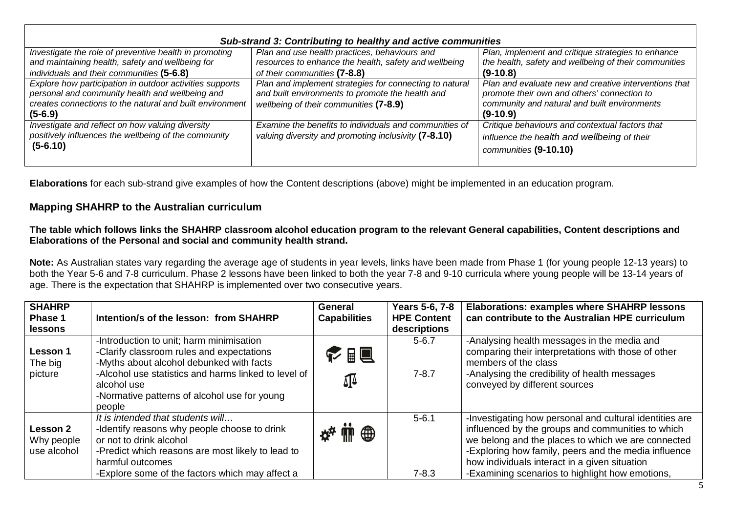| Sub-strand 3: Contributing to healthy and active communities                                                                                                                         |                                                                                                                                                       |                                                                                                                                                                    |  |  |  |
|--------------------------------------------------------------------------------------------------------------------------------------------------------------------------------------|-------------------------------------------------------------------------------------------------------------------------------------------------------|--------------------------------------------------------------------------------------------------------------------------------------------------------------------|--|--|--|
| Investigate the role of preventive health in promoting<br>and maintaining health, safety and wellbeing for                                                                           | Plan and use health practices, behaviours and<br>resources to enhance the health, safety and wellbeing                                                | Plan, implement and critique strategies to enhance<br>the health, safety and wellbeing of their communities                                                        |  |  |  |
| individuals and their communities (5-6.8)                                                                                                                                            | of their communities (7-8.8)                                                                                                                          | $(9-10.8)$                                                                                                                                                         |  |  |  |
| Explore how participation in outdoor activities supports<br>personal and community health and wellbeing and<br>creates connections to the natural and built environment<br>$(5-6.9)$ | Plan and implement strategies for connecting to natural<br>and built environments to promote the health and<br>wellbeing of their communities (7-8.9) | Plan and evaluate new and creative interventions that<br>promote their own and others' connection to<br>community and natural and built environments<br>$(9-10.9)$ |  |  |  |
| Investigate and reflect on how valuing diversity<br>positively influences the wellbeing of the community<br>$(5-6.10)$                                                               | Examine the benefits to individuals and communities of<br>valuing diversity and promoting inclusivity (7-8.10)                                        | Critique behaviours and contextual factors that<br>influence the health and wellbeing of their<br>communities (9-10.10)                                            |  |  |  |

**Elaborations** for each sub-strand give examples of how the Content descriptions (above) might be implemented in an education program.

### **Mapping SHAHRP to the Australian curriculum**

### **The table which follows links the SHAHRP classroom alcohol education program to the relevant General capabilities, Content descriptions and Elaborations of the Personal and social and community health strand.**

**Note:** As Australian states vary regarding the average age of students in year levels, links have been made from Phase 1 (for young people 12-13 years) to both the Year 5-6 and 7-8 curriculum. Phase 2 lessons have been linked to both the year 7-8 and 9-10 curricula where young people will be 13-14 years of age. There is the expectation that SHAHRP is implemented over two consecutive years.

| <b>SHAHRP</b><br>Phase 1<br>lessons   | Intention/s of the lesson: from SHAHRP                                                                                                                                                                                                                             | <b>General</b><br><b>Capabilities</b> | <b>Years 5-6, 7-8</b><br><b>HPE Content</b><br>descriptions | <b>Elaborations: examples where SHAHRP lessons</b><br>can contribute to the Australian HPE curriculum                                                                                                                                                                                                                          |
|---------------------------------------|--------------------------------------------------------------------------------------------------------------------------------------------------------------------------------------------------------------------------------------------------------------------|---------------------------------------|-------------------------------------------------------------|--------------------------------------------------------------------------------------------------------------------------------------------------------------------------------------------------------------------------------------------------------------------------------------------------------------------------------|
| Lesson 1<br>The big<br>picture        | -Introduction to unit; harm minimisation<br>-Clarify classroom rules and expectations<br>-Myths about alcohol debunked with facts<br>-Alcohol use statistics and harms linked to level of<br>alcohol use<br>-Normative patterns of alcohol use for young<br>people | ← 間目<br>∯                             | $5 - 6.7$<br>$7 - 8.7$                                      | -Analysing health messages in the media and<br>comparing their interpretations with those of other<br>members of the class<br>-Analysing the credibility of health messages<br>conveyed by different sources                                                                                                                   |
| Lesson 2<br>Why people<br>use alcohol | It is intended that students will<br>-Identify reasons why people choose to drink<br>or not to drink alcohol<br>-Predict which reasons are most likely to lead to<br>harmful outcomes<br>-Explore some of the factors which may affect a                           | ⊕                                     | $5 - 6.1$<br>$7 - 8.3$                                      | -Investigating how personal and cultural identities are<br>influenced by the groups and communities to which<br>we belong and the places to which we are connected<br>-Exploring how family, peers and the media influence<br>how individuals interact in a given situation<br>-Examining scenarios to highlight how emotions, |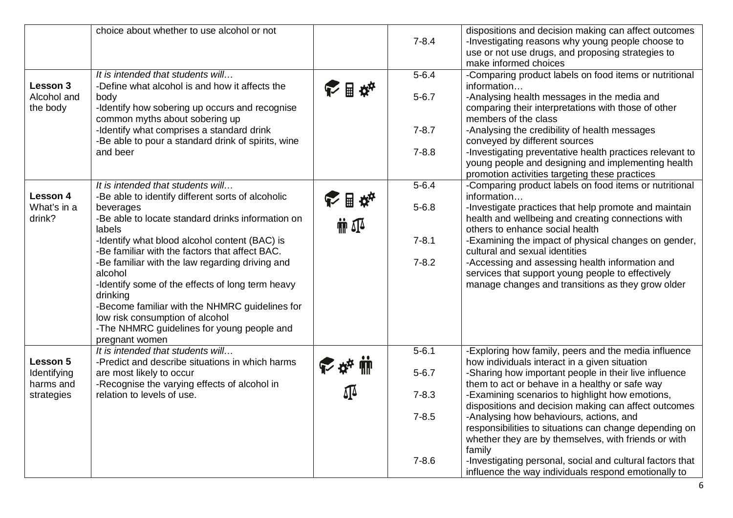|                                     | choice about whether to use alcohol or not                                                                                                 |                           | $7 - 8.4$ | dispositions and decision making can affect outcomes<br>-Investigating reasons why young people choose to<br>use or not use drugs, and proposing strategies to<br>make informed choices |
|-------------------------------------|--------------------------------------------------------------------------------------------------------------------------------------------|---------------------------|-----------|-----------------------------------------------------------------------------------------------------------------------------------------------------------------------------------------|
|                                     | It is intended that students will                                                                                                          |                           | $5 - 6.4$ | -Comparing product labels on food items or nutritional                                                                                                                                  |
| Lesson 3<br>Alcohol and<br>the body | -Define what alcohol is and how it affects the<br>body<br>-Identify how sobering up occurs and recognise<br>common myths about sobering up | 日本                        | $5 - 6.7$ | information<br>-Analysing health messages in the media and<br>comparing their interpretations with those of other<br>members of the class                                               |
|                                     | -Identify what comprises a standard drink<br>-Be able to pour a standard drink of spirits, wine                                            |                           | $7 - 8.7$ | -Analysing the credibility of health messages<br>conveyed by different sources                                                                                                          |
|                                     | and beer                                                                                                                                   |                           | $7 - 8.8$ | -Investigating preventative health practices relevant to<br>young people and designing and implementing health<br>promotion activities targeting these practices                        |
| Lesson 4                            | It is intended that students will<br>-Be able to identify different sorts of alcoholic                                                     | ■☆☆                       | $5 - 6.4$ | -Comparing product labels on food items or nutritional<br>information                                                                                                                   |
| What's in a<br>drink?               | beverages<br>-Be able to locate standard drinks information on<br>labels                                                                   | $\mathbf{m}$ $\mathbf{N}$ | $5 - 6.8$ | -Investigate practices that help promote and maintain<br>health and wellbeing and creating connections with<br>others to enhance social health                                          |
|                                     | -Identify what blood alcohol content (BAC) is<br>-Be familiar with the factors that affect BAC.                                            |                           | $7 - 8.1$ | -Examining the impact of physical changes on gender,<br>cultural and sexual identities                                                                                                  |
|                                     | -Be familiar with the law regarding driving and<br>alcohol<br>-Identify some of the effects of long term heavy<br>drinking                 |                           | $7 - 8.2$ | -Accessing and assessing health information and<br>services that support young people to effectively<br>manage changes and transitions as they grow older                               |
|                                     | -Become familiar with the NHMRC guidelines for<br>low risk consumption of alcohol                                                          |                           |           |                                                                                                                                                                                         |
|                                     | -The NHMRC guidelines for young people and<br>pregnant women                                                                               |                           |           |                                                                                                                                                                                         |
| Lesson 5                            | It is intended that students will<br>-Predict and describe situations in which harms                                                       |                           | $5 - 6.1$ | -Exploring how family, peers and the media influence<br>how individuals interact in a given situation                                                                                   |
| Identifying<br>harms and            | are most likely to occur<br>-Recognise the varying effects of alcohol in                                                                   | そな曲                       | $5 - 6.7$ | -Sharing how important people in their live influence<br>them to act or behave in a healthy or safe way                                                                                 |
| strategies                          | relation to levels of use.                                                                                                                 | Δ]Δ                       | $7 - 8.3$ | -Examining scenarios to highlight how emotions,<br>dispositions and decision making can affect outcomes                                                                                 |
|                                     |                                                                                                                                            |                           | $7 - 8.5$ | -Analysing how behaviours, actions, and<br>responsibilities to situations can change depending on<br>whether they are by themselves, with friends or with<br>family                     |
|                                     |                                                                                                                                            |                           | $7 - 8.6$ | -Investigating personal, social and cultural factors that<br>influence the way individuals respond emotionally to                                                                       |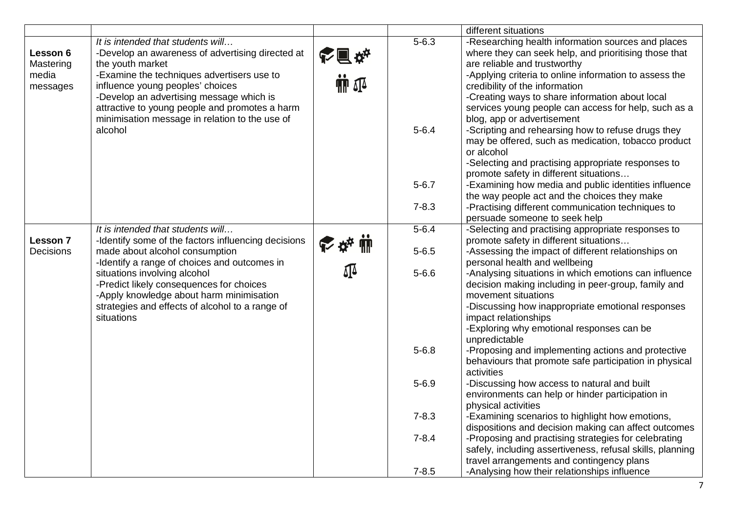|           |                                                                                       |                           |           | different situations                                                                                        |
|-----------|---------------------------------------------------------------------------------------|---------------------------|-----------|-------------------------------------------------------------------------------------------------------------|
| Lesson 6  | It is intended that students will<br>-Develop an awareness of advertising directed at |                           | $5 - 6.3$ | -Researching health information sources and places<br>where they can seek help, and prioritising those that |
| Mastering | the youth market                                                                      | 心间私                       |           | are reliable and trustworthy                                                                                |
| media     | -Examine the techniques advertisers use to                                            |                           |           | -Applying criteria to online information to assess the                                                      |
| messages  | influence young peoples' choices                                                      | $\mathbf{m}$ $\mathbf{r}$ |           | credibility of the information                                                                              |
|           | -Develop an advertising message which is                                              |                           |           | -Creating ways to share information about local                                                             |
|           | attractive to young people and promotes a harm                                        |                           |           | services young people can access for help, such as a                                                        |
|           | minimisation message in relation to the use of                                        |                           |           | blog, app or advertisement                                                                                  |
|           | alcohol                                                                               |                           | $5 - 6.4$ | -Scripting and rehearsing how to refuse drugs they                                                          |
|           |                                                                                       |                           |           | may be offered, such as medication, tobacco product                                                         |
|           |                                                                                       |                           |           | or alcohol                                                                                                  |
|           |                                                                                       |                           |           | -Selecting and practising appropriate responses to                                                          |
|           |                                                                                       |                           | $5 - 6.7$ | promote safety in different situations<br>-Examining how media and public identities influence              |
|           |                                                                                       |                           |           | the way people act and the choices they make                                                                |
|           |                                                                                       |                           | $7 - 8.3$ | -Practising different communication techniques to                                                           |
|           |                                                                                       |                           |           | persuade someone to seek help                                                                               |
|           | It is intended that students will                                                     |                           | $5 - 6.4$ | -Selecting and practising appropriate responses to                                                          |
| Lesson 7  | -Identify some of the factors influencing decisions                                   |                           |           | promote safety in different situations                                                                      |
| Decisions | made about alcohol consumption                                                        |                           | $5 - 6.5$ | -Assessing the impact of different relationships on                                                         |
|           | -Identify a range of choices and outcomes in                                          |                           |           | personal health and wellbeing                                                                               |
|           | situations involving alcohol                                                          |                           | $5 - 6.6$ | -Analysing situations in which emotions can influence                                                       |
|           | -Predict likely consequences for choices                                              |                           |           | decision making including in peer-group, family and                                                         |
|           | -Apply knowledge about harm minimisation                                              |                           |           | movement situations                                                                                         |
|           | strategies and effects of alcohol to a range of                                       |                           |           | -Discussing how inappropriate emotional responses                                                           |
|           | situations                                                                            |                           |           | impact relationships                                                                                        |
|           |                                                                                       |                           |           | -Exploring why emotional responses can be                                                                   |
|           |                                                                                       |                           |           | unpredictable                                                                                               |
|           |                                                                                       |                           | $5 - 6.8$ | -Proposing and implementing actions and protective                                                          |
|           |                                                                                       |                           |           | behaviours that promote safe participation in physical                                                      |
|           |                                                                                       |                           | $5 - 6.9$ | activities                                                                                                  |
|           |                                                                                       |                           |           | -Discussing how access to natural and built<br>environments can help or hinder participation in             |
|           |                                                                                       |                           |           | physical activities                                                                                         |
|           |                                                                                       |                           | $7 - 8.3$ | -Examining scenarios to highlight how emotions,                                                             |
|           |                                                                                       |                           |           | dispositions and decision making can affect outcomes                                                        |
|           |                                                                                       |                           | $7 - 8.4$ | -Proposing and practising strategies for celebrating                                                        |
|           |                                                                                       |                           |           | safely, including assertiveness, refusal skills, planning                                                   |
|           |                                                                                       |                           |           | travel arrangements and contingency plans                                                                   |
|           |                                                                                       |                           | $7 - 8.5$ | -Analysing how their relationships influence                                                                |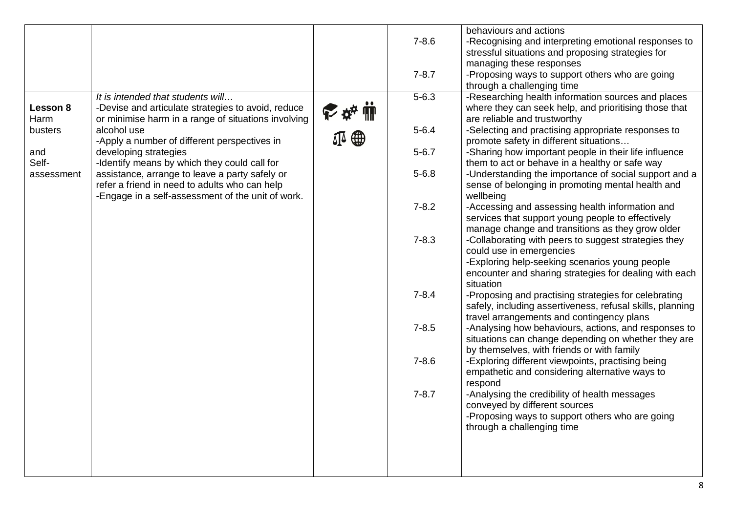|            |                                                     |   |           | behaviours and actions                                    |
|------------|-----------------------------------------------------|---|-----------|-----------------------------------------------------------|
|            |                                                     |   | $7 - 8.6$ | -Recognising and interpreting emotional responses to      |
|            |                                                     |   |           | stressful situations and proposing strategies for         |
|            |                                                     |   |           | managing these responses                                  |
|            |                                                     |   | $7 - 8.7$ | -Proposing ways to support others who are going           |
|            |                                                     |   |           | through a challenging time                                |
|            | It is intended that students will                   |   | $5 - 6.3$ | -Researching health information sources and places        |
| Lesson 8   | -Devise and articulate strategies to avoid, reduce  |   |           | where they can seek help, and prioritising those that     |
| Harm       | or minimise harm in a range of situations involving |   |           | are reliable and trustworthy                              |
| busters    | alcohol use                                         |   | $5 - 6.4$ | -Selecting and practising appropriate responses to        |
|            | -Apply a number of different perspectives in        | ⅏ |           | promote safety in different situations                    |
| and        | developing strategies                               |   | $5 - 6.7$ | -Sharing how important people in their life influence     |
| Self-      | -Identify means by which they could call for        |   |           | them to act or behave in a healthy or safe way            |
| assessment | assistance, arrange to leave a party safely or      |   | $5 - 6.8$ | -Understanding the importance of social support and a     |
|            | refer a friend in need to adults who can help       |   |           | sense of belonging in promoting mental health and         |
|            | -Engage in a self-assessment of the unit of work.   |   |           | wellbeing                                                 |
|            |                                                     |   | $7 - 8.2$ | -Accessing and assessing health information and           |
|            |                                                     |   |           | services that support young people to effectively         |
|            |                                                     |   |           | manage change and transitions as they grow older          |
|            |                                                     |   | $7 - 8.3$ | -Collaborating with peers to suggest strategies they      |
|            |                                                     |   |           | could use in emergencies                                  |
|            |                                                     |   |           | -Exploring help-seeking scenarios young people            |
|            |                                                     |   |           | encounter and sharing strategies for dealing with each    |
|            |                                                     |   |           | situation                                                 |
|            |                                                     |   | $7 - 8.4$ | -Proposing and practising strategies for celebrating      |
|            |                                                     |   |           | safely, including assertiveness, refusal skills, planning |
|            |                                                     |   |           | travel arrangements and contingency plans                 |
|            |                                                     |   | $7 - 8.5$ | -Analysing how behaviours, actions, and responses to      |
|            |                                                     |   |           | situations can change depending on whether they are       |
|            |                                                     |   |           | by themselves, with friends or with family                |
|            |                                                     |   | $7 - 8.6$ | -Exploring different viewpoints, practising being         |
|            |                                                     |   |           | empathetic and considering alternative ways to            |
|            |                                                     |   |           | respond                                                   |
|            |                                                     |   | $7 - 8.7$ | -Analysing the credibility of health messages             |
|            |                                                     |   |           | conveyed by different sources                             |
|            |                                                     |   |           | -Proposing ways to support others who are going           |
|            |                                                     |   |           | through a challenging time                                |
|            |                                                     |   |           |                                                           |
|            |                                                     |   |           |                                                           |
|            |                                                     |   |           |                                                           |
|            |                                                     |   |           |                                                           |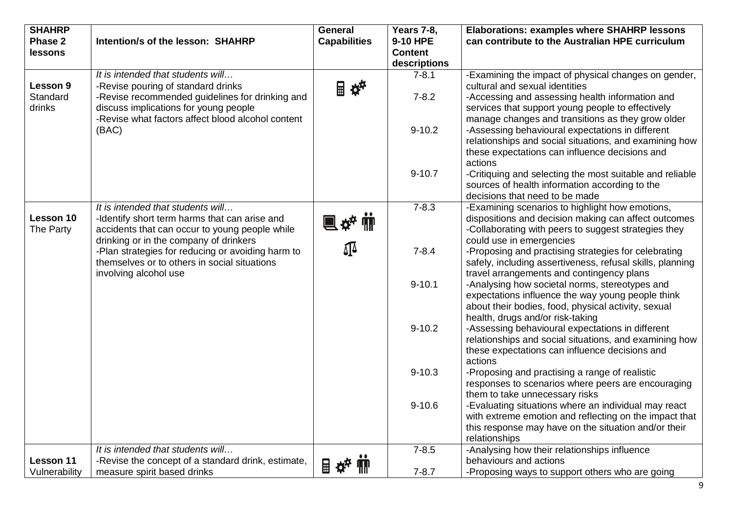| <b>SHAHRP</b><br>Phase 2<br>lessons | Intention/s of the lesson: SHAHRP                                                                                                                                    | General<br><b>Capabilities</b> | <b>Years 7-8,</b><br>9-10 HPE<br><b>Content</b><br>descriptions | <b>Elaborations: examples where SHAHRP lessons</b><br>can contribute to the Australian HPE curriculum                                                                                                             |
|-------------------------------------|----------------------------------------------------------------------------------------------------------------------------------------------------------------------|--------------------------------|-----------------------------------------------------------------|-------------------------------------------------------------------------------------------------------------------------------------------------------------------------------------------------------------------|
| Lesson 9                            | It is intended that students will<br>-Revise pouring of standard drinks                                                                                              | ■卒                             | $7 - 8.1$                                                       | -Examining the impact of physical changes on gender,<br>cultural and sexual identities                                                                                                                            |
| Standard<br>drinks                  | -Revise recommended guidelines for drinking and<br>discuss implications for young people                                                                             |                                | $7 - 8.2$                                                       | -Accessing and assessing health information and<br>services that support young people to effectively                                                                                                              |
|                                     | -Revise what factors affect blood alcohol content<br>(BAC)                                                                                                           |                                | $9 - 10.2$                                                      | manage changes and transitions as they grow older<br>-Assessing behavioural expectations in different<br>relationships and social situations, and examining how<br>these expectations can influence decisions and |
|                                     |                                                                                                                                                                      |                                | $9 - 10.7$                                                      | actions<br>-Critiquing and selecting the most suitable and reliable<br>sources of health information according to the<br>decisions that need to be made                                                           |
| Lesson 10<br>The Party              | It is intended that students will<br>-Identify short term harms that can arise and<br>accidents that can occur to young people while                                 | <b>电碎轴</b>                     | $7 - 8.3$                                                       | -Examining scenarios to highlight how emotions,<br>dispositions and decision making can affect outcomes<br>-Collaborating with peers to suggest strategies they                                                   |
|                                     | drinking or in the company of drinkers<br>-Plan strategies for reducing or avoiding harm to<br>themselves or to others in social situations<br>involving alcohol use | ∯                              | $7 - 8.4$                                                       | could use in emergencies<br>-Proposing and practising strategies for celebrating<br>safely, including assertiveness, refusal skills, planning<br>travel arrangements and contingency plans                        |
|                                     |                                                                                                                                                                      |                                | $9 - 10.1$                                                      | -Analysing how societal norms, stereotypes and<br>expectations influence the way young people think<br>about their bodies, food, physical activity, sexual<br>health, drugs and/or risk-taking                    |
|                                     |                                                                                                                                                                      |                                | $9 - 10.2$                                                      | -Assessing behavioural expectations in different<br>relationships and social situations, and examining how<br>these expectations can influence decisions and                                                      |
|                                     |                                                                                                                                                                      |                                | $9 - 10.3$                                                      | actions<br>-Proposing and practising a range of realistic<br>responses to scenarios where peers are encouraging<br>them to take unnecessary risks                                                                 |
|                                     |                                                                                                                                                                      |                                | $9 - 10.6$                                                      | -Evaluating situations where an individual may react<br>with extreme emotion and reflecting on the impact that<br>this response may have on the situation and/or their<br>relationships                           |
|                                     | It is intended that students will                                                                                                                                    |                                | $7 - 8.5$                                                       | -Analysing how their relationships influence                                                                                                                                                                      |
| Lesson 11                           | -Revise the concept of a standard drink, estimate,                                                                                                                   | ■卒‴                            |                                                                 | behaviours and actions                                                                                                                                                                                            |
| Vulnerability                       | measure spirit based drinks                                                                                                                                          |                                | $7 - 8.7$                                                       | -Proposing ways to support others who are going                                                                                                                                                                   |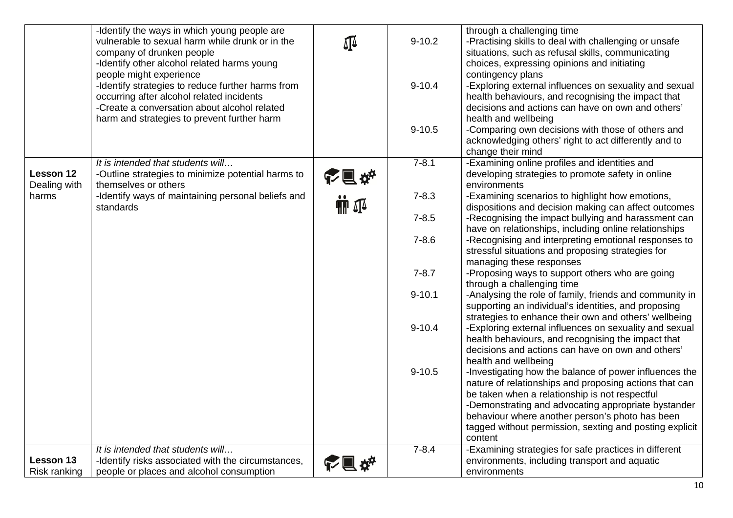|                           | -Identify the ways in which young people are<br>vulnerable to sexual harm while drunk or in the<br>company of drunken people<br>-Identify other alcohol related harms young<br>people might experience<br>-Identify strategies to reduce further harms from<br>occurring after alcohol related incidents<br>-Create a conversation about alcohol related<br>harm and strategies to prevent further harm | ₫₫                        | $9 - 10.2$<br>$9 - 10.4$<br>$9 - 10.5$ | through a challenging time<br>-Practising skills to deal with challenging or unsafe<br>situations, such as refusal skills, communicating<br>choices, expressing opinions and initiating<br>contingency plans<br>-Exploring external influences on sexuality and sexual<br>health behaviours, and recognising the impact that<br>decisions and actions can have on own and others'<br>health and wellbeing<br>-Comparing own decisions with those of others and<br>acknowledging others' right to act differently and to<br>change their mind |
|---------------------------|---------------------------------------------------------------------------------------------------------------------------------------------------------------------------------------------------------------------------------------------------------------------------------------------------------------------------------------------------------------------------------------------------------|---------------------------|----------------------------------------|----------------------------------------------------------------------------------------------------------------------------------------------------------------------------------------------------------------------------------------------------------------------------------------------------------------------------------------------------------------------------------------------------------------------------------------------------------------------------------------------------------------------------------------------|
| Lesson 12<br>Dealing with | It is intended that students will<br>-Outline strategies to minimize potential harms to<br>themselves or others                                                                                                                                                                                                                                                                                         | 心面体                       | $7 - 8.1$                              | -Examining online profiles and identities and<br>developing strategies to promote safety in online<br>environments                                                                                                                                                                                                                                                                                                                                                                                                                           |
| harms                     | -Identify ways of maintaining personal beliefs and<br>standards                                                                                                                                                                                                                                                                                                                                         | $\mathbf{m}$ $\mathbf{r}$ | $7 - 8.3$                              | -Examining scenarios to highlight how emotions,<br>dispositions and decision making can affect outcomes                                                                                                                                                                                                                                                                                                                                                                                                                                      |
|                           |                                                                                                                                                                                                                                                                                                                                                                                                         |                           | $7 - 8.5$                              | -Recognising the impact bullying and harassment can                                                                                                                                                                                                                                                                                                                                                                                                                                                                                          |
|                           |                                                                                                                                                                                                                                                                                                                                                                                                         |                           | $7 - 8.6$                              | have on relationships, including online relationships<br>-Recognising and interpreting emotional responses to<br>stressful situations and proposing strategies for<br>managing these responses                                                                                                                                                                                                                                                                                                                                               |
|                           |                                                                                                                                                                                                                                                                                                                                                                                                         |                           | $7 - 8.7$                              | -Proposing ways to support others who are going<br>through a challenging time                                                                                                                                                                                                                                                                                                                                                                                                                                                                |
|                           |                                                                                                                                                                                                                                                                                                                                                                                                         |                           | $9 - 10.1$                             | -Analysing the role of family, friends and community in<br>supporting an individual's identities, and proposing<br>strategies to enhance their own and others' wellbeing                                                                                                                                                                                                                                                                                                                                                                     |
|                           |                                                                                                                                                                                                                                                                                                                                                                                                         |                           | $9 - 10.4$                             | -Exploring external influences on sexuality and sexual<br>health behaviours, and recognising the impact that<br>decisions and actions can have on own and others'                                                                                                                                                                                                                                                                                                                                                                            |
|                           |                                                                                                                                                                                                                                                                                                                                                                                                         |                           | $9 - 10.5$                             | health and wellbeing<br>-Investigating how the balance of power influences the<br>nature of relationships and proposing actions that can<br>be taken when a relationship is not respectful<br>-Demonstrating and advocating appropriate bystander<br>behaviour where another person's photo has been<br>tagged without permission, sexting and posting explicit<br>content                                                                                                                                                                   |
| Lesson 13<br>Risk ranking | It is intended that students will<br>-Identify risks associated with the circumstances,<br>people or places and alcohol consumption                                                                                                                                                                                                                                                                     |                           | $7 - 8.4$                              | -Examining strategies for safe practices in different<br>environments, including transport and aquatic<br>environments                                                                                                                                                                                                                                                                                                                                                                                                                       |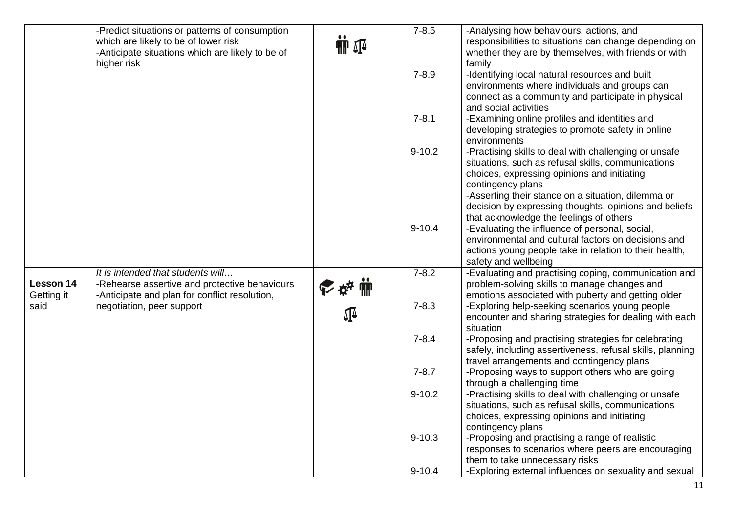|            | -Predict situations or patterns of consumption   |                | $7 - 8.5$  | -Analysing how behaviours, actions, and                                                                     |
|------------|--------------------------------------------------|----------------|------------|-------------------------------------------------------------------------------------------------------------|
|            | which are likely to be of lower risk             | $\Pi$ $\Omega$ |            | responsibilities to situations can change depending on                                                      |
|            | -Anticipate situations which are likely to be of |                |            | whether they are by themselves, with friends or with                                                        |
|            | higher risk                                      |                | $7 - 8.9$  | family<br>-Identifying local natural resources and built                                                    |
|            |                                                  |                |            | environments where individuals and groups can                                                               |
|            |                                                  |                |            | connect as a community and participate in physical                                                          |
|            |                                                  |                |            | and social activities                                                                                       |
|            |                                                  |                | $7 - 8.1$  | -Examining online profiles and identities and                                                               |
|            |                                                  |                |            | developing strategies to promote safety in online                                                           |
|            |                                                  |                |            | environments                                                                                                |
|            |                                                  |                | $9 - 10.2$ | -Practising skills to deal with challenging or unsafe<br>situations, such as refusal skills, communications |
|            |                                                  |                |            | choices, expressing opinions and initiating                                                                 |
|            |                                                  |                |            | contingency plans                                                                                           |
|            |                                                  |                |            | -Asserting their stance on a situation, dilemma or                                                          |
|            |                                                  |                |            | decision by expressing thoughts, opinions and beliefs                                                       |
|            |                                                  |                |            | that acknowledge the feelings of others                                                                     |
|            |                                                  |                | $9 - 10.4$ | -Evaluating the influence of personal, social,<br>environmental and cultural factors on decisions and       |
|            |                                                  |                |            | actions young people take in relation to their health,                                                      |
|            |                                                  |                |            | safety and wellbeing                                                                                        |
|            | It is intended that students will                |                | $7 - 8.2$  | -Evaluating and practising coping, communication and                                                        |
| Lesson 14  | -Rehearse assertive and protective behaviours    | ☆☆ ■           |            | problem-solving skills to manage changes and                                                                |
| Getting it | -Anticipate and plan for conflict resolution,    |                |            | emotions associated with puberty and getting older                                                          |
| said       | negotiation, peer support                        | 邳              | $7 - 8.3$  | -Exploring help-seeking scenarios young people                                                              |
|            |                                                  |                |            | encounter and sharing strategies for dealing with each<br>situation                                         |
|            |                                                  |                | $7 - 8.4$  | -Proposing and practising strategies for celebrating                                                        |
|            |                                                  |                |            | safely, including assertiveness, refusal skills, planning                                                   |
|            |                                                  |                |            | travel arrangements and contingency plans                                                                   |
|            |                                                  |                | $7 - 8.7$  | -Proposing ways to support others who are going                                                             |
|            |                                                  |                | $9 - 10.2$ | through a challenging time<br>-Practising skills to deal with challenging or unsafe                         |
|            |                                                  |                |            | situations, such as refusal skills, communications                                                          |
|            |                                                  |                |            | choices, expressing opinions and initiating                                                                 |
|            |                                                  |                |            | contingency plans                                                                                           |
|            |                                                  |                | $9 - 10.3$ | -Proposing and practising a range of realistic                                                              |
|            |                                                  |                |            | responses to scenarios where peers are encouraging                                                          |
|            |                                                  |                |            | them to take unnecessary risks                                                                              |
|            |                                                  |                | $9 - 10.4$ | -Exploring external influences on sexuality and sexual                                                      |